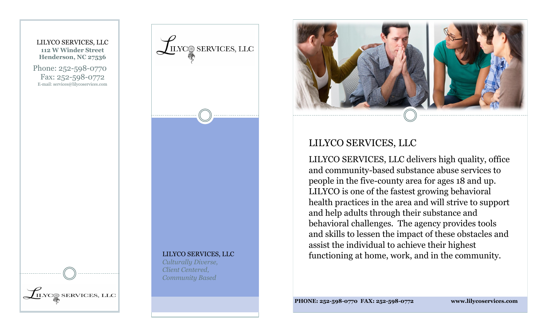





# LILYCO SERVICES, LLC

LILYCO SERVICES, LLC delivers high quality, office and community-based substance abuse services to people in the five-county area for ages 18 and up. LILYCO is one of the fastest growing behavioral health practices in the area and will strive to support and help adults through their substance and behavioral challenges. The agency provides tools and skills to lessen the impact of these obstacles and assist the individual to achieve their highest functioning at home, work, and in the community.

**PHONE: 252-598-0770 FAX: 252-598-0772 www.lilycoservices.com**